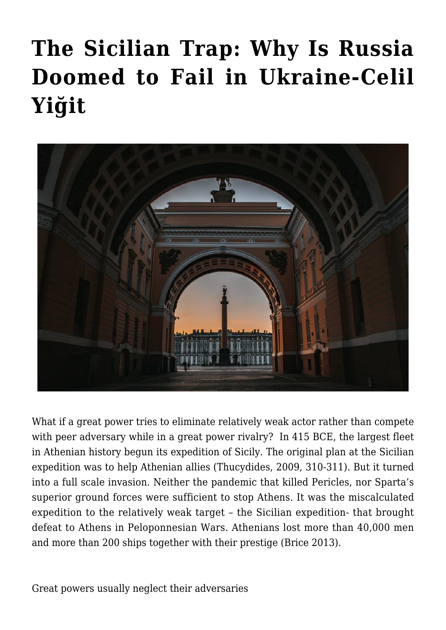## **[The Sicilian Trap: Why Is Russia](https://www.uikpanorama.com/blog/2022/04/25/sicilian-trap-why-russia-is-doomed-to-fail/) [Doomed to Fail in Ukraine-Celil](https://www.uikpanorama.com/blog/2022/04/25/sicilian-trap-why-russia-is-doomed-to-fail/) [Yiğit](https://www.uikpanorama.com/blog/2022/04/25/sicilian-trap-why-russia-is-doomed-to-fail/)**



What if a great power tries to eliminate relatively weak actor rather than compete with peer adversary while in a great power rivalry? In 415 BCE, the largest fleet in Athenian history begun its expedition of Sicily. The original plan at the Sicilian expedition was to help Athenian allies (Thucydides, 2009, 310-311). But it turned into a full scale invasion. Neither the pandemic that killed Pericles, nor Sparta's superior ground forces were sufficient to stop Athens. It was the miscalculated expedition to the relatively weak target – the Sicilian expedition- that brought defeat to Athens in Peloponnesian Wars. Athenians lost more than 40,000 men and more than 200 ships together with their prestige (Brice 2013).

Great powers usually neglect their adversaries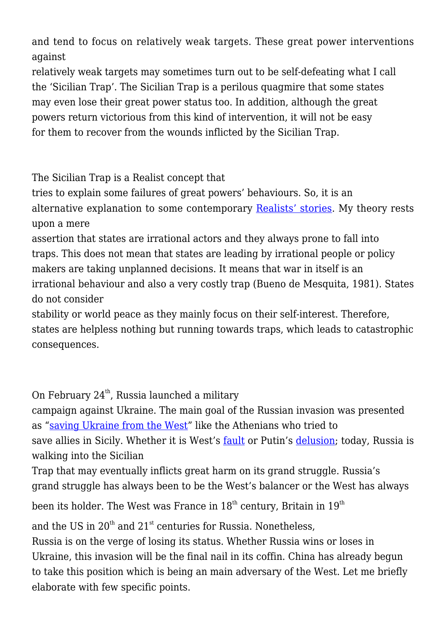and tend to focus on relatively weak targets. These great power interventions against

relatively weak targets may sometimes turn out to be self-defeating what I call the 'Sicilian Trap'. The Sicilian Trap is a perilous quagmire that some states may even lose their great power status too. In addition, although the great powers return victorious from this kind of intervention, it will not be easy for them to recover from the wounds inflicted by the Sicilian Trap.

The Sicilian Trap is a Realist concept that

tries to explain some failures of great powers' behaviours. So, it is an alternative explanation to some contemporary [Realists' stories](https://foreignpolicy.com/2022/03/29/realist-case-ukraine-peace-deal/). My theory rests upon a mere

assertion that states are irrational actors and they always prone to fall into traps. This does not mean that states are leading by irrational people or policy makers are taking unplanned decisions. It means that war in itself is an irrational behaviour and also a very costly trap (Bueno de Mesquita, 1981). States do not consider

stability or world peace as they mainly focus on their self-interest. Therefore, states are helpless nothing but running towards traps, which leads to catastrophic consequences.

On February  $24<sup>th</sup>$ , Russia launched a military

campaign against Ukraine. The main goal of the Russian invasion was presented as ["saving Ukraine from the West"](https://www.uikpanorama.com/blog/2022/03/03/putin-yol/) like the Athenians who tried to save allies in Sicily. Whether it is West's [fault](https://www.foreignaffairs.com/articles/russia-fsu/2014-08-18/why-ukraine-crisis-west-s-fault) or Putin's [delusion](https://www.aljazeera.com/opinions/2022/3/2/putins-imperial-delusions-will-haunt-russia); today, Russia is walking into the Sicilian

Trap that may eventually inflicts great harm on its grand struggle. Russia's grand struggle has always been to be the West's balancer or the West has always

been its holder. The West was France in  $18^{th}$  century, Britain in  $19^{th}$ 

and the US in  $20^{th}$  and  $21^{st}$  centuries for Russia. Nonetheless,

Russia is on the verge of losing its status. Whether Russia wins or loses in Ukraine, this invasion will be the final nail in its coffin. China has already begun to take this position which is being an main adversary of the West. Let me briefly elaborate with few specific points.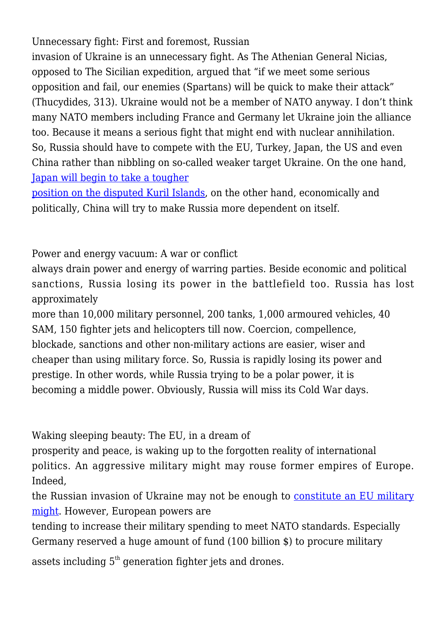Unnecessary fight: First and foremost, Russian

invasion of Ukraine is an unnecessary fight. As The Athenian General Nicias, opposed to The Sicilian expedition, argued that "if we meet some serious opposition and fail, our enemies (Spartans) will be quick to make their attack" (Thucydides, 313). Ukraine would not be a member of NATO anyway. I don't think many NATO members including France and Germany let Ukraine join the alliance too. Because it means a serious fight that might end with nuclear annihilation. So, Russia should have to compete with the EU, Turkey, Japan, the US and even China rather than nibbling on so-called weaker target Ukraine. On the one hand, [Japan will begin to take a tougher](https://asia.nikkei.com/Politics/International-relations/After-Ukraine-Japan-reverts-to-old-line-on-Russian-controlled-islands)

[position on the disputed Kuril Islands,](https://asia.nikkei.com/Politics/International-relations/After-Ukraine-Japan-reverts-to-old-line-on-Russian-controlled-islands) on the other hand, economically and politically, China will try to make Russia more dependent on itself.

Power and energy vacuum: A war or conflict

always drain power and energy of warring parties. Beside economic and political sanctions, Russia losing its power in the battlefield too. Russia has lost approximately

more than 10,000 military personnel, 200 tanks, 1,000 armoured vehicles, 40 SAM, 150 fighter jets and helicopters till now. Coercion, compellence, blockade, sanctions and other non-military actions are easier, wiser and cheaper than using military force. So, Russia is rapidly losing its power and prestige. In other words, while Russia trying to be a polar power, it is becoming a middle power. Obviously, Russia will miss its Cold War days.

Waking sleeping beauty: The EU, in a dream of

prosperity and peace, is waking up to the forgotten reality of international politics. An aggressive military might may rouse former empires of Europe. Indeed,

the Russian invasion of Ukraine may not be enough to [constitute an EU military](https://www.uikpanorama.com/blog/2022/03/15/ab-birlesme/) [might](https://www.uikpanorama.com/blog/2022/03/15/ab-birlesme/). However, European powers are

tending to increase their military spending to meet NATO standards. Especially Germany reserved a huge amount of fund (100 billion \$) to procure military

assets including  $5<sup>th</sup>$  generation fighter jets and drones.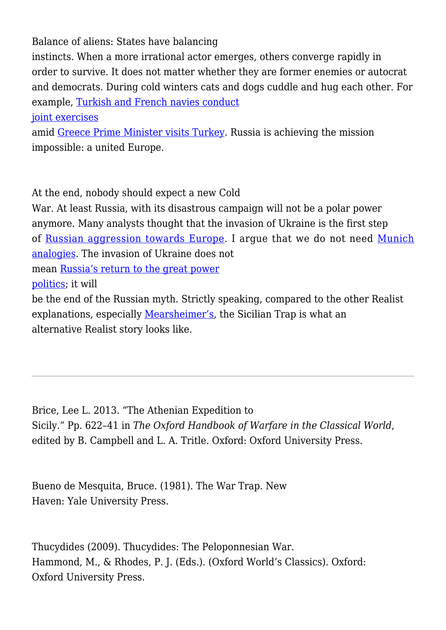Balance of aliens: States have balancing

instincts. When a more irrational actor emerges, others converge rapidly in order to survive. It does not matter whether they are former enemies or autocrat and democrats. During cold winters cats and dogs cuddle and hug each other. For example, [Turkish and French navies conduct](https://twitter.com/tcsavunma/status/1504440750314082305?s=20&t=BO88HiVCfacn-kQXhpMZeQ)

[joint exercises](https://twitter.com/tcsavunma/status/1504440750314082305?s=20&t=BO88HiVCfacn-kQXhpMZeQ)

amid [Greece Prime Minister visits Turkey.](https://www.aa.com.tr/en/politics/turkish-president-receives-greek-prime-minister-in-istanbul/2533834) Russia is achieving the mission impossible: a united Europe.

At the end, nobody should expect a new Cold

War. At least Russia, with its disastrous campaign will not be a polar power anymore. Many analysts thought that the invasion of Ukraine is the first step of [Russian aggression towards Europe.](https://www.cfr.org/report/preventing-wider-european-conflict) I argue that we do not need [Munich](https://www.nytimes.com/2022/03/15/opinion/russia-ukraine-world-war-iii.html) [analogies](https://www.nytimes.com/2022/03/15/opinion/russia-ukraine-world-war-iii.html). The invasion of Ukraine does not mean [Russia's return to the great power](https://foreignpolicy.com/2022/04/13/ukraine-war-realism-great-powers-unipolarity/?tpcc=recirc_latest062921) [politics](https://foreignpolicy.com/2022/04/13/ukraine-war-realism-great-powers-unipolarity/?tpcc=recirc_latest062921); it will

be the end of the Russian myth. Strictly speaking, compared to the other Realist explanations, especially [Mearsheimer's,](https://www.economist.com/by-invitation/2022/03/11/john-mearsheimer-on-why-the-west-is-principally-responsible-for-the-ukrainian-crisis) the Sicilian Trap is what an alternative Realist story looks like.

Brice, Lee L. 2013. "The Athenian Expedition to Sicily." Pp. 622–41 in *The Oxford Handbook of Warfare in the Classical World*, edited by B. Campbell and L. A. Tritle. Oxford: Oxford University Press.

Bueno de Mesquita, Bruce. (1981). The War Trap. New Haven: Yale University Press.

Thucydides (2009). Thucydides: The Peloponnesian War. Hammond, M., & Rhodes, P. J. (Eds.). (Oxford World's Classics). Oxford: Oxford University Press.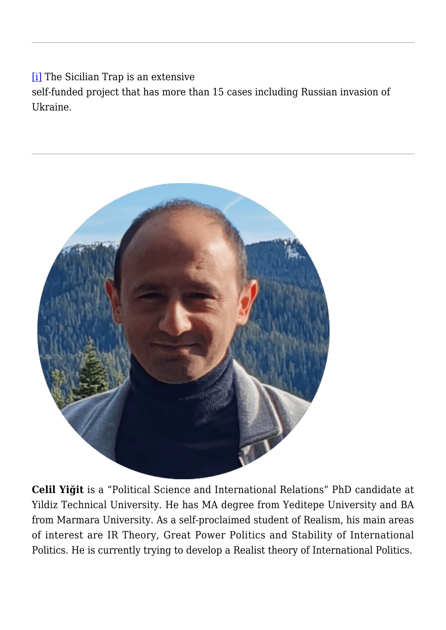[\[i\]](#page--1-0) The Sicilian Trap is an extensive

self-funded project that has more than 15 cases including Russian invasion of Ukraine.



**Celil Yiğit** is a "Political Science and International Relations" PhD candidate at Yildiz Technical University. He has MA degree from Yeditepe University and BA from Marmara University. As a self-proclaimed student of Realism, his main areas of interest are IR Theory, Great Power Politics and Stability of International Politics. He is currently trying to develop a Realist theory of International Politics.